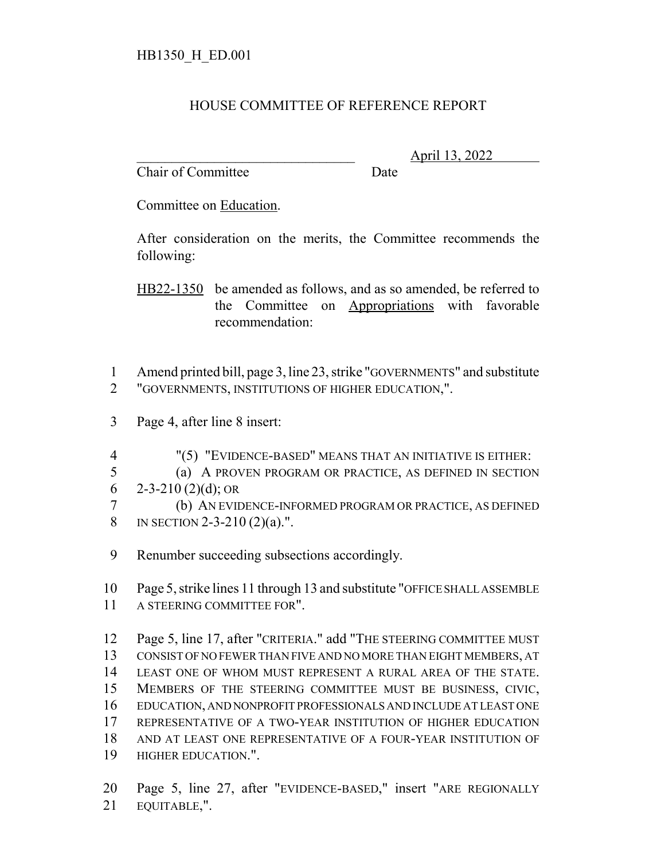## HOUSE COMMITTEE OF REFERENCE REPORT

Chair of Committee Date

\_\_\_\_\_\_\_\_\_\_\_\_\_\_\_\_\_\_\_\_\_\_\_\_\_\_\_\_\_\_\_ April 13, 2022

Committee on Education.

After consideration on the merits, the Committee recommends the following:

HB22-1350 be amended as follows, and as so amended, be referred to the Committee on Appropriations with favorable recommendation:

- Amend printed bill, page 3, line 23, strike "GOVERNMENTS" and substitute "GOVERNMENTS, INSTITUTIONS OF HIGHER EDUCATION,".
- Page 4, after line 8 insert:
- "(5) "EVIDENCE-BASED" MEANS THAT AN INITIATIVE IS EITHER:
- (a) A PROVEN PROGRAM OR PRACTICE, AS DEFINED IN SECTION 6 2-3-210 (2)(d); OR
- (b) AN EVIDENCE-INFORMED PROGRAM OR PRACTICE, AS DEFINED 8 IN SECTION 2-3-210 (2)(a).".
- Renumber succeeding subsections accordingly.

 Page 5, strike lines 11 through 13 and substitute "OFFICE SHALL ASSEMBLE A STEERING COMMITTEE FOR".

 Page 5, line 17, after "CRITERIA." add "THE STEERING COMMITTEE MUST CONSIST OF NO FEWER THAN FIVE AND NO MORE THAN EIGHT MEMBERS, AT LEAST ONE OF WHOM MUST REPRESENT A RURAL AREA OF THE STATE. MEMBERS OF THE STEERING COMMITTEE MUST BE BUSINESS, CIVIC, EDUCATION, AND NONPROFIT PROFESSIONALS AND INCLUDE AT LEAST ONE REPRESENTATIVE OF A TWO-YEAR INSTITUTION OF HIGHER EDUCATION AND AT LEAST ONE REPRESENTATIVE OF A FOUR-YEAR INSTITUTION OF HIGHER EDUCATION.".

 Page 5, line 27, after "EVIDENCE-BASED," insert "ARE REGIONALLY EQUITABLE,".